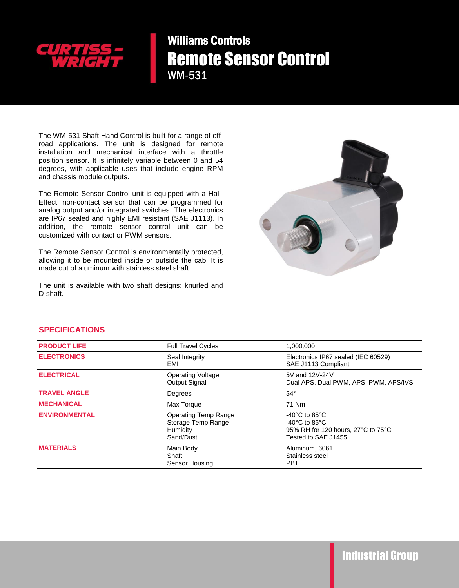

Williams Controls Remote Sensor Control WM-531

The WM-531 Shaft Hand Control is built for a range of offroad applications. The unit is designed for remote installation and mechanical interface with a throttle position sensor. It is infinitely variable between 0 and 54 degrees, with applicable uses that include engine RPM and chassis module outputs.

The Remote Sensor Control unit is equipped with a Hall-Effect, non-contact sensor that can be programmed for analog output and/or integrated switches. The electronics are IP67 sealed and highly EMI resistant (SAE J1113). In addition, the remote sensor control unit can be customized with contact or PWM sensors.

The Remote Sensor Control is environmentally protected, allowing it to be mounted inside or outside the cab. It is made out of aluminum with stainless steel shaft.

The unit is available with two shaft designs: knurled and D-shaft.



## **SPECIFICATIONS**

| <b>PRODUCT LIFE</b>  | <b>Full Travel Cycles</b>                                                  | 1,000,000                                                                                                                               |
|----------------------|----------------------------------------------------------------------------|-----------------------------------------------------------------------------------------------------------------------------------------|
| <b>ELECTRONICS</b>   | Seal Integrity<br>EMI                                                      | Electronics IP67 sealed (IEC 60529)<br>SAE J1113 Compliant                                                                              |
| <b>ELECTRICAL</b>    | <b>Operating Voltage</b><br><b>Output Signal</b>                           | 5V and 12V-24V<br>Dual APS, Dual PWM, APS, PWM, APS/IVS                                                                                 |
| <b>TRAVEL ANGLE</b>  | Degrees                                                                    | $54^\circ$                                                                                                                              |
| <b>MECHANICAL</b>    | Max Torque                                                                 | 71 Nm                                                                                                                                   |
| <b>ENVIRONMENTAL</b> | <b>Operating Temp Range</b><br>Storage Temp Range<br>Humidity<br>Sand/Dust | -40 $^{\circ}$ C to 85 $^{\circ}$ C<br>-40 $^{\circ}$ C to 85 $^{\circ}$ C<br>95% RH for 120 hours, 27°C to 75°C<br>Tested to SAE J1455 |
| <b>MATERIALS</b>     | Main Body<br>Shaft<br>Sensor Housing                                       | Aluminum, 6061<br>Stainless steel<br><b>PBT</b>                                                                                         |